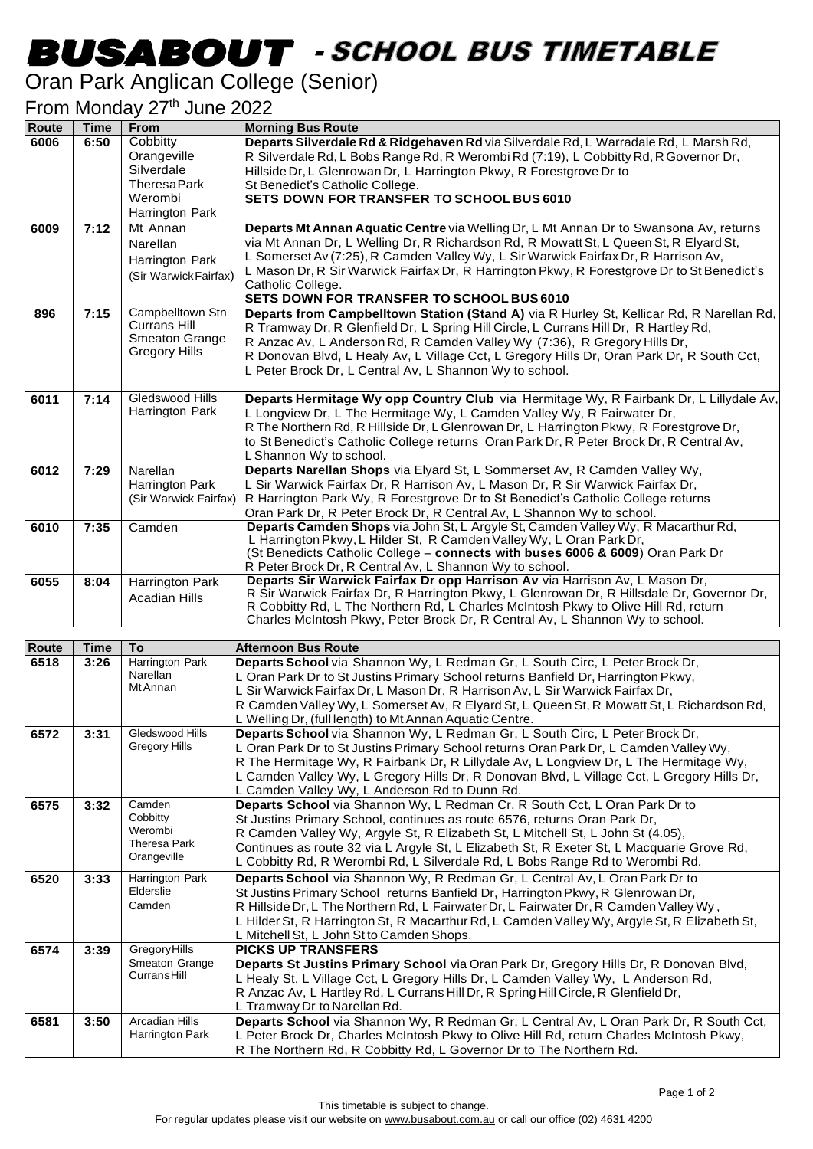## -

## Oran Park Anglican College (Senior)

## From Monday 27<sup>th</sup> June 2022

| <b>Route</b> | <b>Time</b> | From                  | <b>Morning Bus Route</b>                                                                                                                                          |
|--------------|-------------|-----------------------|-------------------------------------------------------------------------------------------------------------------------------------------------------------------|
| 6006         | 6:50        | Cobbitty              | Departs Silverdale Rd & Ridgehaven Rd via Silverdale Rd, L Warradale Rd, L Marsh Rd,                                                                              |
|              |             | Orangeville           | R Silverdale Rd, L Bobs Range Rd, R Werombi Rd (7:19), L Cobbitty Rd, R Governor Dr,                                                                              |
|              |             | Silverdale            | Hillside Dr, L Glenrowan Dr, L Harrington Pkwy, R Forestgrove Dr to                                                                                               |
|              |             | <b>TheresaPark</b>    | St Benedict's Catholic College.                                                                                                                                   |
|              |             | Werombi               | <b>SETS DOWN FOR TRANSFER TO SCHOOL BUS 6010</b>                                                                                                                  |
|              |             | Harrington Park       |                                                                                                                                                                   |
| 6009         | 7:12        | Mt Annan              | Departs Mt Annan Aquatic Centre via Welling Dr, L Mt Annan Dr to Swansona Av, returns                                                                             |
|              |             | Narellan              | via Mt Annan Dr, L Welling Dr, R Richardson Rd, R Mowatt St, L Queen St, R Elyard St,                                                                             |
|              |             | Harrington Park       | L Somerset Av (7:25), R Camden Valley Wy, L Sir Warwick Fairfax Dr, R Harrison Av,                                                                                |
|              |             | (Sir Warwick Fairfax) | L Mason Dr, R Sir Warwick Fairfax Dr, R Harrington Pkwy, R Forestgrove Dr to St Benedict's                                                                        |
|              |             |                       | Catholic College.                                                                                                                                                 |
|              |             | Campbelltown Stn      | <b>SETS DOWN FOR TRANSFER TO SCHOOL BUS 6010</b>                                                                                                                  |
| 896          | 7:15        | Currans Hill          | Departs from Campbelltown Station (Stand A) via R Hurley St, Kellicar Rd, R Narellan Rd,                                                                          |
|              |             | <b>Smeaton Grange</b> | R Tramway Dr, R Glenfield Dr, L Spring Hill Circle, L Currans Hill Dr, R Hartley Rd,<br>R Anzac Av, L Anderson Rd, R Camden Valley Wy (7:36), R Gregory Hills Dr, |
|              |             | <b>Gregory Hills</b>  | R Donovan Blvd, L Healy Av, L Village Cct, L Gregory Hills Dr, Oran Park Dr, R South Cct,                                                                         |
|              |             |                       | L Peter Brock Dr, L Central Av, L Shannon Wy to school.                                                                                                           |
|              |             |                       |                                                                                                                                                                   |
| 6011         | 7:14        | Gledswood Hills       | Departs Hermitage Wy opp Country Club via Hermitage Wy, R Fairbank Dr, L Lillydale Av,                                                                            |
|              |             | Harrington Park       | L Longview Dr, L The Hermitage Wy, L Camden Valley Wy, R Fairwater Dr,                                                                                            |
|              |             |                       | R The Northern Rd, R Hillside Dr, L Glenrowan Dr, L Harrington Pkwy, R Forestgrove Dr,                                                                            |
|              |             |                       | to St Benedict's Catholic College returns Oran Park Dr, R Peter Brock Dr, R Central Av,                                                                           |
|              |             |                       | L Shannon Wy to school.                                                                                                                                           |
| 6012         | 7:29        | Narellan              | Departs Narellan Shops via Elyard St, L Sommerset Av, R Camden Valley Wy,                                                                                         |
|              |             | Harrington Park       | L Sir Warwick Fairfax Dr, R Harrison Av, L Mason Dr, R Sir Warwick Fairfax Dr,                                                                                    |
|              |             | (Sir Warwick Fairfax) | R Harrington Park Wy, R Forestgrove Dr to St Benedict's Catholic College returns                                                                                  |
|              |             |                       | Oran Park Dr, R Peter Brock Dr, R Central Av, L Shannon Wy to school.                                                                                             |
| 6010         | 7:35        | Camden                | Departs Camden Shops via John St, L Argyle St, Camden Valley Wy, R Macarthur Rd,                                                                                  |
|              |             |                       | L Harrington Pkwy, L Hilder St, R Camden Valley Wy, L Oran Park Dr,                                                                                               |
|              |             |                       | (St Benedicts Catholic College - connects with buses 6006 & 6009) Oran Park Dr                                                                                    |
| 6055         |             |                       | R Peter Brock Dr, R Central Av, L Shannon Wy to school.<br>Departs Sir Warwick Fairfax Dr opp Harrison Av via Harrison Av, L Mason Dr,                            |
|              | 8:04        | Harrington Park       | R Sir Warwick Fairfax Dr, R Harrington Pkwy, L Glenrowan Dr, R Hillsdale Dr, Governor Dr,                                                                         |
|              |             | <b>Acadian Hills</b>  | R Cobbitty Rd, L The Northern Rd, L Charles McIntosh Pkwy to Olive Hill Rd, return                                                                                |
|              |             |                       | Charles McIntosh Pkwy, Peter Brock Dr, R Central Av, L Shannon Wy to school.                                                                                      |
|              |             |                       |                                                                                                                                                                   |

| Route | <b>Time</b> | <b>To</b>                                                    | <b>Afternoon Bus Route</b>                                                                                                                                                                                                                                                                                                                                                                                              |
|-------|-------------|--------------------------------------------------------------|-------------------------------------------------------------------------------------------------------------------------------------------------------------------------------------------------------------------------------------------------------------------------------------------------------------------------------------------------------------------------------------------------------------------------|
| 6518  | 3:26        | Harrington Park<br>Narellan<br>Mt Annan                      | Departs School via Shannon Wy, L Redman Gr, L South Circ, L Peter Brock Dr,<br>L Oran Park Dr to St Justins Primary School returns Banfield Dr, Harrington Pkwy,<br>L Sir Warwick Fairfax Dr, L Mason Dr, R Harrison Av, L Sir Warwick Fairfax Dr,<br>R Camden Valley Wy, L Somerset Av, R Elyard St, L Queen St, R Mowatt St, L Richardson Rd,<br>L Welling Dr, (full length) to Mt Annan Aquatic Centre.              |
| 6572  | 3:31        | Gledswood Hills<br><b>Gregory Hills</b>                      | Departs School via Shannon Wy, L Redman Gr, L South Circ, L Peter Brock Dr,<br>L Oran Park Dr to St Justins Primary School returns Oran Park Dr, L Camden Valley Wy,<br>R The Hermitage Wy, R Fairbank Dr, R Lillydale Av, L Longview Dr, L The Hermitage Wy,<br>L Camden Valley Wy, L Gregory Hills Dr, R Donovan Blvd, L Village Cct, L Gregory Hills Dr,<br>L Camden Valley Wy, L Anderson Rd to Dunn Rd.            |
| 6575  | 3:32        | Camden<br>Cobbitty<br>Werombi<br>Theresa Park<br>Orangeville | Departs School via Shannon Wy, L Redman Cr, R South Cct, L Oran Park Dr to<br>St Justins Primary School, continues as route 6576, returns Oran Park Dr,<br>R Camden Valley Wy, Argyle St, R Elizabeth St, L Mitchell St, L John St (4.05),<br>Continues as route 32 via L Argyle St, L Elizabeth St, R Exeter St, L Macquarie Grove Rd,<br>L Cobbitty Rd, R Werombi Rd, L Silverdale Rd, L Bobs Range Rd to Werombi Rd. |
| 6520  | 3:33        | Harrington Park<br>Elderslie<br>Camden                       | Departs School via Shannon Wy, R Redman Gr, L Central Av, L Oran Park Dr to<br>St Justins Primary School returns Banfield Dr, Harrington Pkwy, R Glenrowan Dr,<br>R Hillside Dr, L The Northern Rd, L Fairwater Dr, L Fairwater Dr, R Camden Valley Wy,<br>L Hilder St, R Harrington St, R Macarthur Rd, L Camden Valley Wy, Argyle St, R Elizabeth St,<br>L Mitchell St, L John St to Camden Shops.                    |
| 6574  | 3:39        | GregoryHills<br>Smeaton Grange<br>CurransHill                | <b>PICKS UP TRANSFERS</b><br>Departs St Justins Primary School via Oran Park Dr, Gregory Hills Dr, R Donovan Blvd,<br>L Healy St, L Village Cct, L Gregory Hills Dr, L Camden Valley Wy, L Anderson Rd,<br>R Anzac Av, L Hartley Rd, L Currans Hill Dr, R Spring Hill Circle, R Glenfield Dr,<br>L Tramway Dr to Narellan Rd.                                                                                           |
| 6581  | 3:50        | <b>Arcadian Hills</b><br>Harrington Park                     | Departs School via Shannon Wy, R Redman Gr, L Central Av, L Oran Park Dr, R South Cct,<br>L Peter Brock Dr, Charles McIntosh Pkwy to Olive Hill Rd, return Charles McIntosh Pkwy,<br>R The Northern Rd, R Cobbitty Rd, L Governor Dr to The Northern Rd.                                                                                                                                                                |